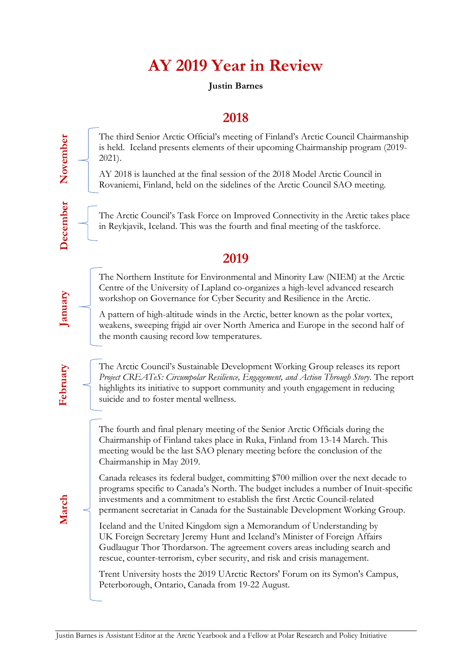## **AY 2019 Year in Review**

## **Justin Barnes**

## **2018**

The third Senior Arctic Official's meeting of Finland's Arctic Council Chairmanship is held. Iceland presents elements of their upcoming Chairmanship program (2019- 2021).

AY 2018 is launched at the final session of the 2018 Model Arctic Council in Rovaniemi, Finland, held on the sidelines of the Arctic Council SAO meeting.

The Arctic Council's Task Force on Improved Connectivity in the Arctic takes place in Reykjavik, Iceland. This was the fourth and final meeting of the taskforce.

## **2019**

The Northern Institute for Environmental and Minority Law (NIEM) at the Arctic Centre of the University of Lapland co-organizes a high-level advanced research workshop on Governance for Cyber Security and Resilience in the Arctic.

A pattern of high-altitude winds in the Arctic, better known as the polar vortex, weakens, sweeping frigid air over North America and Europe in the second half of the month causing record low temperatures.

The Arctic Council's Sustainable Development Working Group releases its report *Project CREATeS: Circumpolar Resilience, Engagement, and Action Through Story*. The report highlights its initiative to support community and youth engagement in reducing suicide and to foster mental wellness.

The fourth and final plenary meeting of the Senior Arctic Officials during the Chairmanship of Finland takes place in Ruka, Finland from 13-14 March. This meeting would be the last SAO plenary meeting before the conclusion of the Chairmanship in May 2019.

Canada releases its federal budget, committing \$700 million over the next decade to programs specific to Canada's North. The budget includes a number of Inuit-specific investments and a commitment to establish the first Arctic Council-related permanent secretariat in Canada for the Sustainable Development Working Group.

Iceland and the United Kingdom sign a Memorandum of Understanding by UK Foreign Secretary Jeremy Hunt and Iceland's Minister of Foreign Affairs Gudlaugur Thor Thordarson. The agreement covers areas including search and rescue, counter-terrorism, cyber security, and risk and crisis management.

Trent University hosts the 2019 UArctic Rectors' Forum on its Symon's Campus, Peterborough, Ontario, Canada from 19-22 August.

**March**

**November**

November

**December**

**December** 

**January**

**February**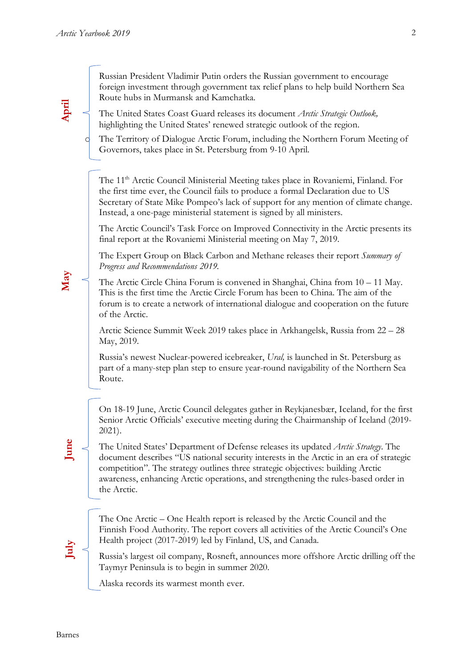**April**

**May**

Russian President Vladimir Putin orders the Russian government to encourage foreign investment through government tax relief plans to help build Northern Sea Route hubs in Murmansk and Kamchatka.

The United States Coast Guard releases its document *Arctic Strategic Outlook,* highlighting the United States' renewed strategic outlook of the region.

The Territory of Dialogue Arctic Forum, including the Northern Forum Meeting of Governors, takes place in St. Petersburg from 9-10 April.

The 11<sup>th</sup> Arctic Council Ministerial Meeting takes place in Rovaniemi, Finland. For the first time ever, the Council fails to produce a formal Declaration due to US Secretary of State Mike Pompeo's lack of support for any mention of climate change. Instead, a one-page ministerial statement is signed by all ministers.

The Arctic Council's Task Force on Improved Connectivity in the Arctic presents its final report at the Rovaniemi Ministerial meeting on May 7, 2019.

The Expert Group on Black Carbon and Methane releases their report *Summary of Progress and Recommendations 2019.*

The Arctic Circle China Forum is convened in Shanghai, China from 10 – 11 May. This is the first time the Arctic Circle Forum has been to China. The aim of the forum is to create a network of international dialogue and cooperation on the future of the Arctic.

Arctic Science Summit Week 2019 takes place in Arkhangelsk, Russia from 22 – 28 May, 2019.

Russia's newest Nuclear-powered icebreaker, *Ural,* is launched in St. Petersburg as part of a many-step plan step to ensure year-round navigability of the Northern Sea Route.

On 18-19 June, Arctic Council delegates gather in Reykjanesbær, Iceland, for the first Senior Arctic Officials' executive meeting during the Chairmanship of Iceland (2019- 2021).

The United States' Department of Defense releases its updated *Arctic Strategy*. The document describes "US national security interests in the Arctic in an era of strategic competition". The strategy outlines three strategic objectives: building Arctic awareness, enhancing Arctic operations, and strengthening the rules-based order in the Arctic.

The One Arctic – One Health report is released by the Arctic Council and the Finnish Food Authority. The report covers all activities of the Arctic Council's One Health project (2017-2019) led by Finland, US, and Canada.

Russia's largest oil company, Rosneft, announces more offshore Arctic drilling off the Taymyr Peninsula is to begin in summer 2020.

Alaska records its warmest month ever.

**June**

**July**